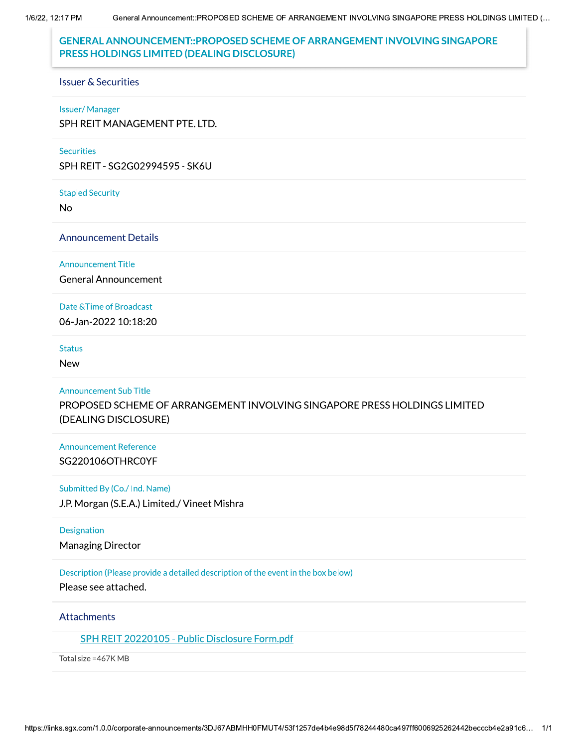1/6/22, 12:17 PM

# **GENERAL ANNOUNCEMENT::PROPOSED SCHEME OF ARRANGEMENT INVOLVING SINGAPORE** PRESS HOLDINGS LIMITED (DEALING DISCLOSURE)

### **Issuer & Securities**

#### **Issuer/Manager**

SPH REIT MANAGEMENT PTE. LTD.

#### **Securities**

SPH REIT - SG2G02994595 - SK6U

#### **Stapled Security**

No

### **Announcement Details**

### **Announcement Title**

**General Announcement** 

### Date & Time of Broadcast

06-Jan-2022 10:18:20

#### **Status**

**New** 

#### **Announcement Sub Title**

PROPOSED SCHEME OF ARRANGEMENT INVOLVING SINGAPORE PRESS HOLDINGS LIMITED (DEALING DISCLOSURE)

# **Announcement Reference** SG220106OTHRC0YF

### Submitted By (Co./ Ind. Name)

J.P. Morgan (S.E.A.) Limited./ Vineet Mishra

### **Designation**

**Managing Director** 

# Description (Please provide a detailed description of the event in the box below)

Please see attached.

# Attachments

# SPH REIT 20220105 - Public Disclosure Form.pdf

Total size = 467K MB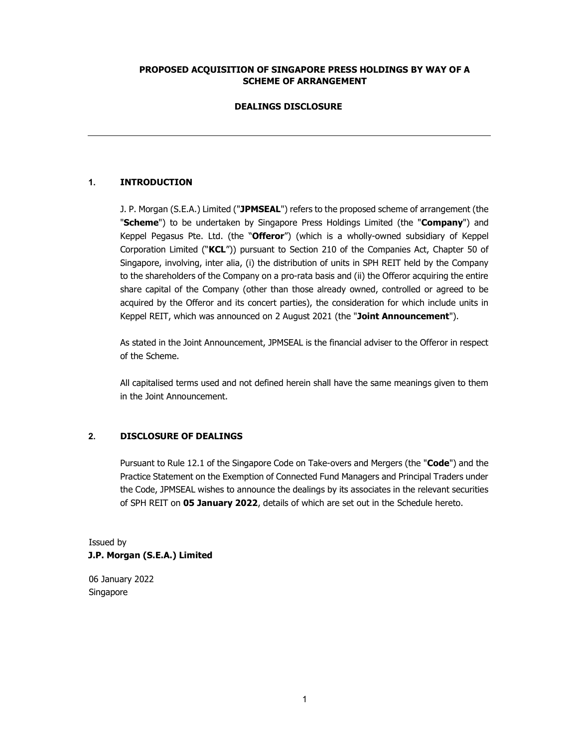### PROPOSED ACQUISITION OF SINGAPORE PRESS HOLDINGS BY WAY OF A SCHEME OF ARRANGEMENT

### DEALINGS DISCLOSURE

### 1. INTRODUCTION

J. P. Morgan (S.E.A.) Limited ("JPMSEAL") refers to the proposed scheme of arrangement (the "Scheme") to be undertaken by Singapore Press Holdings Limited (the "Company") and Keppel Pegasus Pte. Ltd. (the "Offeror") (which is a wholly-owned subsidiary of Keppel Corporation Limited ("KCL")) pursuant to Section 210 of the Companies Act, Chapter 50 of Singapore, involving, inter alia, (i) the distribution of units in SPH REIT held by the Company to the shareholders of the Company on a pro-rata basis and (ii) the Offeror acquiring the entire share capital of the Company (other than those already owned, controlled or agreed to be acquired by the Offeror and its concert parties), the consideration for which include units in Keppel REIT, which was announced on 2 August 2021 (the "Joint Announcement").

As stated in the Joint Announcement, JPMSEAL is the financial adviser to the Offeror in respect of the Scheme.

All capitalised terms used and not defined herein shall have the same meanings given to them in the Joint Announcement.

# 2. DISCLOSURE OF DEALINGS

Pursuant to Rule 12.1 of the Singapore Code on Take-overs and Mergers (the "Code") and the Practice Statement on the Exemption of Connected Fund Managers and Principal Traders under the Code, JPMSEAL wishes to announce the dealings by its associates in the relevant securities of SPH REIT on 05 January 2022, details of which are set out in the Schedule hereto.

# Issued by J.P. Morgan (S.E.A.) Limited

06 January 2022 Singapore